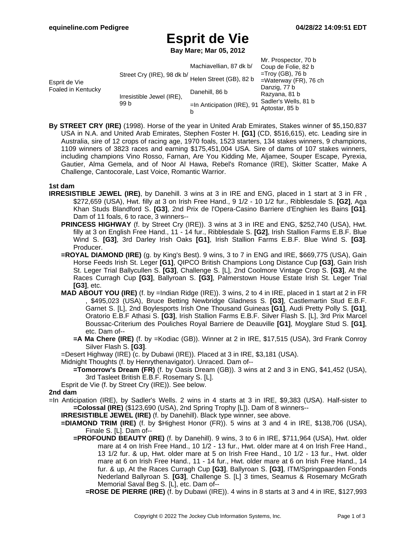# **Esprit de Vie**

**Bay Mare; Mar 05, 2012**

|                                     |                                                       |                               | Mr. Prospector, 70 b     |
|-------------------------------------|-------------------------------------------------------|-------------------------------|--------------------------|
| Esprit de Vie<br>Foaled in Kentucky | Street Cry (IRE), 98 dk b/<br>Helen Street (GB), 82 b | Machiavellian, 87 dk b/       | Coup de Folie, 82 b      |
|                                     |                                                       |                               | $=$ Troy (GB), 76 b      |
|                                     |                                                       |                               | $=$ Waterway (FR), 76 ch |
|                                     | Irresistible Jewel (IRE),<br>99 b                     | Danehill, 86 b                | Danzig, 77 b             |
|                                     |                                                       |                               | Razyana, 81 b            |
|                                     |                                                       | $=$ In Anticipation (IRE), 91 | Sadler's Wells, 81 b     |
|                                     |                                                       |                               | Aptostar, 85 b           |
|                                     |                                                       | b                             |                          |

**By STREET CRY (IRE)** (1998). Horse of the year in United Arab Emirates, Stakes winner of \$5,150,837 USA in N.A. and United Arab Emirates, Stephen Foster H. **[G1]** (CD, \$516,615), etc. Leading sire in Australia, sire of 12 crops of racing age, 1970 foals, 1523 starters, 134 stakes winners, 9 champions, 1109 winners of 3823 races and earning \$175,451,004 USA. Sire of dams of 107 stakes winners, including champions Vino Rosso, Farnan, Are You Kidding Me, Aljamee, Souper Escape, Pyrexia, Gautier, Alma Gemela, and of Noor Al Hawa, Rebel's Romance (IRE), Skitter Scatter, Make A Challenge, Cantocorale, Last Voice, Romantic Warrior.

### **1st dam**

- **IRRESISTIBLE JEWEL (IRE)**, by Danehill. 3 wins at 3 in IRE and ENG, placed in 1 start at 3 in FR , \$272,659 (USA), Hwt. filly at 3 on Irish Free Hand., 9 1/2 - 10 1/2 fur., Ribblesdale S. **[G2]**, Aga Khan Studs Blandford S. **[G3]**, 2nd Prix de l'Opera-Casino Barriere d'Enghien les Bains **[G1]**. Dam of 11 foals, 6 to race, 3 winners--
	- **PRINCESS HIGHWAY** (f. by Street Cry (IRE)). 3 wins at 3 in IRE and ENG, \$252,740 (USA), Hwt. filly at 3 on English Free Hand., 11 - 14 fur., Ribblesdale S. **[G2]**, Irish Stallion Farms E.B.F. Blue Wind S. **[G3]**, 3rd Darley Irish Oaks **[G1]**, Irish Stallion Farms E.B.F. Blue Wind S. **[G3]**. Producer.
	- **=ROYAL DIAMOND (IRE)** (g. by King's Best). 9 wins, 3 to 7 in ENG and IRE, \$669,775 (USA), Gain Horse Feeds Irish St. Leger **[G1]**, QIPCO British Champions Long Distance Cup **[G3]**, Gain Irish St. Leger Trial Ballycullen S. **[G3]**, Challenge S. [L], 2nd Coolmore Vintage Crop S. **[G3]**, At the Races Curragh Cup **[G3]**, Ballyroan S. **[G3]**, Palmerstown House Estate Irish St. Leger Trial **[G3]**, etc.
	- **MAD ABOUT YOU (IRE)** (f. by =Indian Ridge (IRE)). 3 wins, 2 to 4 in IRE, placed in 1 start at 2 in FR , \$495,023 (USA), Bruce Betting Newbridge Gladness S. **[G3]**, Castlemartin Stud E.B.F. Garnet S. [L], 2nd Boylesports Irish One Thousand Guineas **[G1]**, Audi Pretty Polly S. **[G1]**, Oratorio E.B.F Athasi S. **[G3]**, Irish Stallion Farms E.B.F. Silver Flash S. [L], 3rd Prix Marcel Boussac-Criterium des Pouliches Royal Barriere de Deauville **[G1]**, Moyglare Stud S. **[G1]**, etc. Dam of--
		- **=A Ma Chere (IRE)** (f. by =Kodiac (GB)). Winner at 2 in IRE, \$17,515 (USA), 3rd Frank Conroy Silver Flash S. **[G3]**.
	- =Desert Highway (IRE) (c. by Dubawi (IRE)). Placed at 3 in IRE, \$3,181 (USA).
	- Midnight Thoughts (f. by Henrythenavigator). Unraced. Dam of--
		- **=Tomorrow's Dream (FR)** (f. by Oasis Dream (GB)). 3 wins at 2 and 3 in ENG, \$41,452 (USA), 3rd Tasleet British E.B.F. Rosemary S. [L].
	- Esprit de Vie (f. by Street Cry (IRE)). See below.

### **2nd dam**

- =In Anticipation (IRE), by Sadler's Wells. 2 wins in 4 starts at 3 in IRE, \$9,383 (USA). Half-sister to **=Colossal (IRE)** (\$123,690 (USA), 2nd Spring Trophy [L]). Dam of 8 winners--
	- **IRRESISTIBLE JEWEL (IRE)** (f. by Danehill). Black type winner, see above.
	- **=DIAMOND TRIM (IRE)** (f. by \$Highest Honor (FR)). 5 wins at 3 and 4 in IRE, \$138,706 (USA), Finale S. [L]. Dam of--
		- **=PROFOUND BEAUTY (IRE)** (f. by Danehill). 9 wins, 3 to 6 in IRE, \$711,964 (USA), Hwt. older mare at 4 on Irish Free Hand., 10 1/2 - 13 fur., Hwt. older mare at 4 on Irish Free Hand., 13 1/2 fur. & up, Hwt. older mare at 5 on Irish Free Hand., 10 1/2 - 13 fur., Hwt. older mare at 6 on Irish Free Hand., 11 - 14 fur., Hwt. older mare at 6 on Irish Free Hand., 14 fur. & up, At the Races Curragh Cup **[G3]**, Ballyroan S. **[G3]**, ITM/Springpaarden Fonds Nederland Ballyroan S. **[G3]**, Challenge S. [L] 3 times, Seamus & Rosemary McGrath Memorial Saval Beg S. [L], etc. Dam of--
			- **=ROSE DE PIERRE (IRE)** (f. by Dubawi (IRE)). 4 wins in 8 starts at 3 and 4 in IRE, \$127,993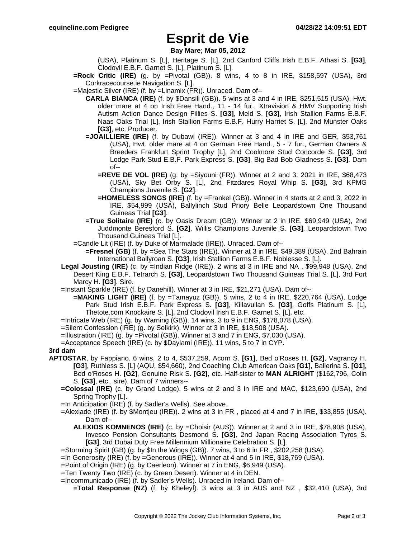## **Esprit de Vie**

**Bay Mare; Mar 05, 2012**

(USA), Platinum S. [L], Heritage S. [L], 2nd Canford Cliffs Irish E.B.F. Athasi S. **[G3]**, Clodovil E.B.F. Garnet S. [L], Platinum S. [L].

**=Rock Critic (IRE)** (g. by =Pivotal (GB)). 8 wins, 4 to 8 in IRE, \$158,597 (USA), 3rd Corkracecourse.ie Navigation S. [L].

=Majestic Silver (IRE) (f. by =Linamix (FR)). Unraced. Dam of--

- **CARLA BIANCA (IRE)** (f. by \$Dansili (GB)). 5 wins at 3 and 4 in IRE, \$251,515 (USA), Hwt. older mare at 4 on Irish Free Hand., 11 - 14 fur., Xtravision & HMV Supporting Irish Autism Action Dance Design Fillies S. **[G3]**, Meld S. **[G3]**, Irish Stallion Farms E.B.F. Naas Oaks Trial [L], Irish Stallion Farms E.B.F. Hurry Harriet S. [L], 2nd Munster Oaks **[G3]**, etc. Producer.
- **=JOAILLIERE (IRE)** (f. by Dubawi (IRE)). Winner at 3 and 4 in IRE and GER, \$53,761 (USA), Hwt. older mare at 4 on German Free Hand., 5 - 7 fur., German Owners & Breeders Frankfurt Sprint Trophy [L], 2nd Coolmore Stud Concorde S. **[G3]**, 3rd Lodge Park Stud E.B.F. Park Express S. **[G3]**, Big Bad Bob Gladness S. **[G3]**. Dam of--
	- **=REVE DE VOL (IRE)** (g. by =Siyouni (FR)). Winner at 2 and 3, 2021 in IRE, \$68,473 (USA), Sky Bet Orby S. [L], 2nd Fitzdares Royal Whip S. **[G3]**, 3rd KPMG Champions Juvenile S. **[G2]**.
	- **=HOMELESS SONGS (IRE)** (f. by =Frankel (GB)). Winner in 4 starts at 2 and 3, 2022 in IRE, \$54,999 (USA), Ballylinch Stud Priory Belle Leopardstown One Thousand Guineas Trial **[G3]**.
- **=True Solitaire (IRE)** (c. by Oasis Dream (GB)). Winner at 2 in IRE, \$69,949 (USA), 2nd Juddmonte Beresford S. **[G2]**, Willis Champions Juvenile S. **[G3]**, Leopardstown Two Thousand Guineas Trial [L].
- =Candle Lit (IRE) (f. by Duke of Marmalade (IRE)). Unraced. Dam of--

**=Fresnel (GB)** (f. by =Sea The Stars (IRE)). Winner at 3 in IRE, \$49,389 (USA), 2nd Bahrain International Ballyroan S. **[G3]**, Irish Stallion Farms E.B.F. Noblesse S. [L].

- **Legal Jousting (IRE)** (c. by =Indian Ridge (IRE)). 2 wins at 3 in IRE and NA , \$99,948 (USA), 2nd Desert King E.B.F. Tetrarch S. **[G3]**, Leopardstown Two Thousand Guineas Trial S. [L], 3rd Fort Marcy H. **[G3]**. Sire.
- =Instant Sparkle (IRE) (f. by Danehill). Winner at 3 in IRE, \$21,271 (USA). Dam of--
	- **=MAKING LIGHT (IRE)** (f. by =Tamayuz (GB)). 5 wins, 2 to 4 in IRE, \$220,764 (USA), Lodge Park Stud Irish E.B.F. Park Express S. **[G3]**, Killavullan S. **[G3]**, Goffs Platinum S. [L], Thetote.com Knockaire S. [L], 2nd Clodovil Irish E.B.F. Garnet S. [L], etc.
- =Intricate Web (IRE) (g. by Warning (GB)). 14 wins, 3 to 9 in ENG, \$178,078 (USA).
- =Silent Confession (IRE) (g. by Selkirk). Winner at 3 in IRE, \$18,508 (USA).
- =Illustration (IRE) (g. by =Pivotal (GB)). Winner at 3 and 7 in ENG, \$7,030 (USA).

=Acceptance Speech (IRE) (c. by \$Daylami (IRE)). 11 wins, 5 to 7 in CYP.

### **3rd dam**

- **APTOSTAR**, by Fappiano. 6 wins, 2 to 4, \$537,259, Acorn S. **[G1]**, Bed o'Roses H. **[G2]**, Vagrancy H. **[G3]**, Ruthless S. [L] (AQU, \$54,660), 2nd Coaching Club American Oaks **[G1]**, Ballerina S. **[G1]**, Bed o'Roses H. **[G2]**, Genuine Risk S. **[G2]**, etc. Half-sister to **MAN ALRIGHT** (\$162,796, Colin S. **[G3]**, etc., sire). Dam of 7 winners--
	- **=Colossal (IRE)** (c. by Grand Lodge). 5 wins at 2 and 3 in IRE and MAC, \$123,690 (USA), 2nd Spring Trophy [L].
	- =In Anticipation (IRE) (f. by Sadler's Wells). See above.
	- =Alexiade (IRE) (f. by \$Montjeu (IRE)). 2 wins at 3 in FR , placed at 4 and 7 in IRE, \$33,855 (USA). Dam of--
		- **ALEXIOS KOMNENOS (IRE)** (c. by =Choisir (AUS)). Winner at 2 and 3 in IRE, \$78,908 (USA), Invesco Pension Consultants Desmond S. **[G3]**, 2nd Japan Racing Association Tyros S. **[G3]**, 3rd Dubai Duty Free Millennium Millionaire Celebration S. [L].
	- =Storming Spirit (GB) (g. by \$In the Wings (GB)). 7 wins, 3 to 6 in FR , \$202,258 (USA).
	- =In Generosity (IRE) (f. by =Generous (IRE)). Winner at 4 and 5 in IRE, \$18,769 (USA).
	- =Point of Origin (IRE) (g. by Caerleon). Winner at 7 in ENG, \$6,949 (USA).
	- =Ten Twenty Two (IRE) (c. by Green Desert). Winner at 4 in DEN.
	- =Incommunicado (IRE) (f. by Sadler's Wells). Unraced in Ireland. Dam of--
		- **=Total Response (NZ)** (f. by Kheleyf). 3 wins at 3 in AUS and NZ , \$32,410 (USA), 3rd